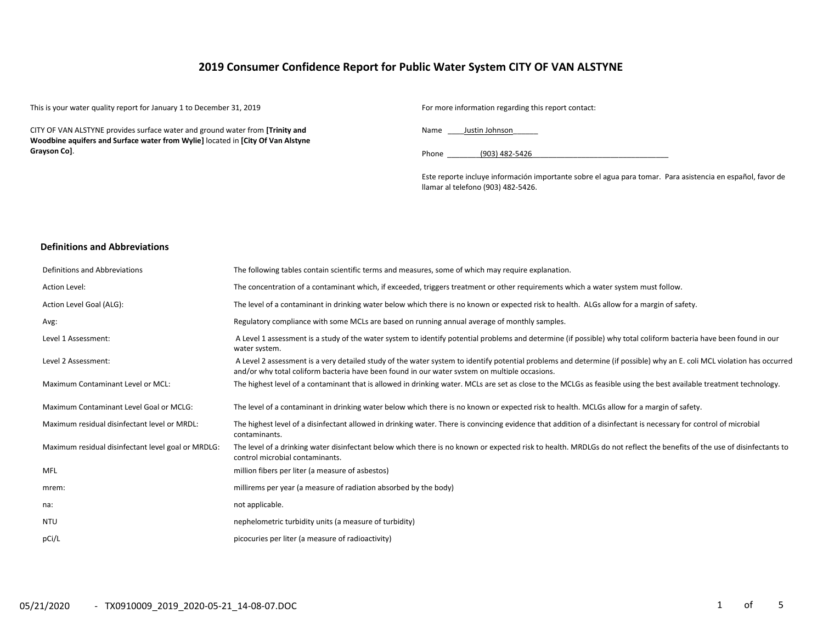### **2019 Consumer Confidence Report for Public Water System CITY OF VAN ALSTYNE**

This is your water quality report for January 1 to December 31, 2019 For more information regarding this report contact:

CITY OF VAN ALSTYNE provides surface water and ground water from **[Trinity and Woodbine aquifers and Surface water from Wylie]** located in **[City Of Van Alstyne Grayson Co]**.

Name Justin Johnson

Phone (903) 482-5426

Este reporte incluye información importante sobre el agua para tomar. Para asistencia en español, favor de llamar al telefono (903) 482-5426.

#### **Definitions and Abbreviations**

| Definitions and Abbreviations                      | The following tables contain scientific terms and measures, some of which may require explanation.                                                                                                                                                                      |
|----------------------------------------------------|-------------------------------------------------------------------------------------------------------------------------------------------------------------------------------------------------------------------------------------------------------------------------|
| Action Level:                                      | The concentration of a contaminant which, if exceeded, triggers treatment or other requirements which a water system must follow.                                                                                                                                       |
| Action Level Goal (ALG):                           | The level of a contaminant in drinking water below which there is no known or expected risk to health. ALGs allow for a margin of safety.                                                                                                                               |
| Avg:                                               | Regulatory compliance with some MCLs are based on running annual average of monthly samples.                                                                                                                                                                            |
| Level 1 Assessment:                                | A Level 1 assessment is a study of the water system to identify potential problems and determine (if possible) why total coliform bacteria have been found in our<br>water system.                                                                                      |
| Level 2 Assessment:                                | A Level 2 assessment is a very detailed study of the water system to identify potential problems and determine (if possible) why an E. coli MCL violation has occurred<br>and/or why total coliform bacteria have been found in our water system on multiple occasions. |
| Maximum Contaminant Level or MCL:                  | The highest level of a contaminant that is allowed in drinking water. MCLs are set as close to the MCLGs as feasible using the best available treatment technology.                                                                                                     |
| Maximum Contaminant Level Goal or MCLG:            | The level of a contaminant in drinking water below which there is no known or expected risk to health. MCLGs allow for a margin of safety.                                                                                                                              |
| Maximum residual disinfectant level or MRDL:       | The highest level of a disinfectant allowed in drinking water. There is convincing evidence that addition of a disinfectant is necessary for control of microbial<br>contaminants.                                                                                      |
| Maximum residual disinfectant level goal or MRDLG: | The level of a drinking water disinfectant below which there is no known or expected risk to health. MRDLGs do not reflect the benefits of the use of disinfectants to<br>control microbial contaminants.                                                               |
| MFL                                                | million fibers per liter (a measure of asbestos)                                                                                                                                                                                                                        |
| mrem:                                              | millirems per year (a measure of radiation absorbed by the body)                                                                                                                                                                                                        |
| na:                                                | not applicable.                                                                                                                                                                                                                                                         |
| <b>NTU</b>                                         | nephelometric turbidity units (a measure of turbidity)                                                                                                                                                                                                                  |
| pCi/L                                              | picocuries per liter (a measure of radioactivity)                                                                                                                                                                                                                       |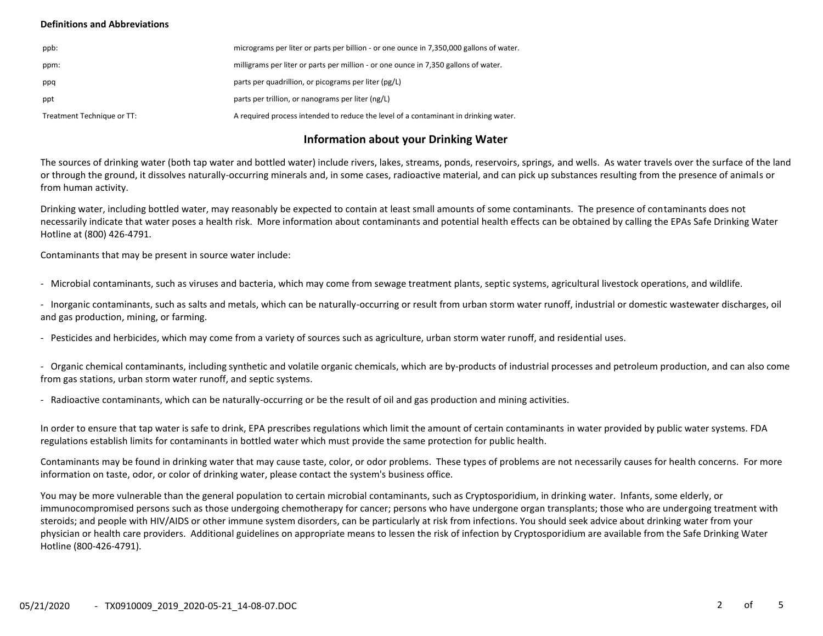#### **Definitions and Abbreviations**

| ppb:                       | micrograms per liter or parts per billion - or one ounce in 7,350,000 gallons of water. |
|----------------------------|-----------------------------------------------------------------------------------------|
| ppm:                       | milligrams per liter or parts per million - or one ounce in 7,350 gallons of water.     |
| ppq                        | parts per quadrillion, or picograms per liter (pg/L)                                    |
| ppt                        | parts per trillion, or nanograms per liter (ng/L)                                       |
| Treatment Technique or TT: | A required process intended to reduce the level of a contaminant in drinking water.     |

### **Information about your Drinking Water**

The sources of drinking water (both tap water and bottled water) include rivers, lakes, streams, ponds, reservoirs, springs, and wells. As water travels over the surface of the land or through the ground, it dissolves naturally-occurring minerals and, in some cases, radioactive material, and can pick up substances resulting from the presence of animals or from human activity.

Drinking water, including bottled water, may reasonably be expected to contain at least small amounts of some contaminants. The presence of contaminants does not necessarily indicate that water poses a health risk. More information about contaminants and potential health effects can be obtained by calling the EPAs Safe Drinking Water Hotline at (800) 426-4791.

Contaminants that may be present in source water include:

- Microbial contaminants, such as viruses and bacteria, which may come from sewage treatment plants, septic systems, agricultural livestock operations, and wildlife.

- Inorganic contaminants, such as salts and metals, which can be naturally-occurring or result from urban storm water runoff, industrial or domestic wastewater discharges, oil and gas production, mining, or farming.

- Pesticides and herbicides, which may come from a variety of sources such as agriculture, urban storm water runoff, and residential uses.

- Organic chemical contaminants, including synthetic and volatile organic chemicals, which are by-products of industrial processes and petroleum production, and can also come from gas stations, urban storm water runoff, and septic systems.

- Radioactive contaminants, which can be naturally-occurring or be the result of oil and gas production and mining activities.

In order to ensure that tap water is safe to drink, EPA prescribes regulations which limit the amount of certain contaminants in water provided by public water systems. FDA regulations establish limits for contaminants in bottled water which must provide the same protection for public health.

Contaminants may be found in drinking water that may cause taste, color, or odor problems. These types of problems are not necessarily causes for health concerns. For more information on taste, odor, or color of drinking water, please contact the system's business office.

You may be more vulnerable than the general population to certain microbial contaminants, such as Cryptosporidium, in drinking water. Infants, some elderly, or immunocompromised persons such as those undergoing chemotherapy for cancer; persons who have undergone organ transplants; those who are undergoing treatment with steroids; and people with HIV/AIDS or other immune system disorders, can be particularly at risk from infections. You should seek advice about drinking water from your physician or health care providers. Additional guidelines on appropriate means to lessen the risk of infection by Cryptosporidium are available from the Safe Drinking Water Hotline (800-426-4791).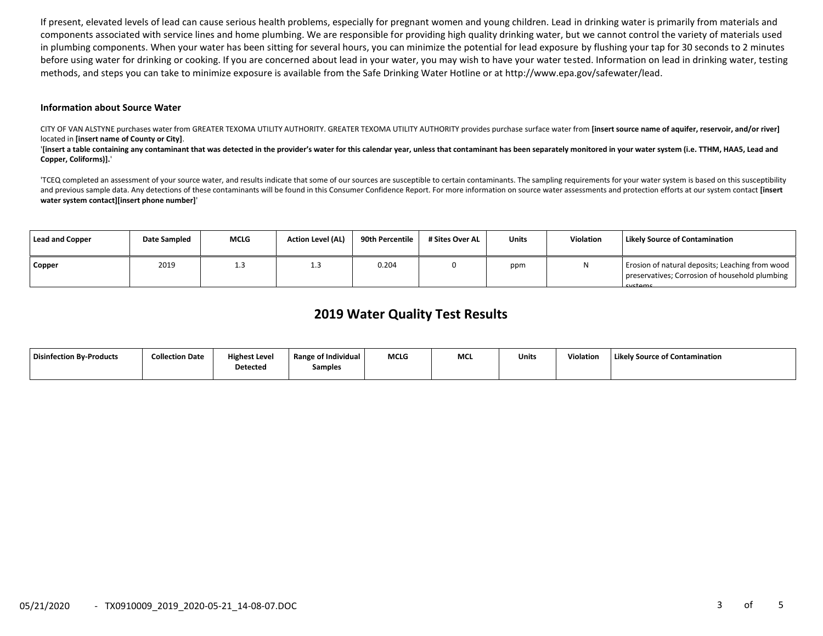If present, elevated levels of lead can cause serious health problems, especially for pregnant women and young children. Lead in drinking water is primarily from materials and components associated with service lines and home plumbing. We are responsible for providing high quality drinking water, but we cannot control the variety of materials used in plumbing components. When your water has been sitting for several hours, you can minimize the potential for lead exposure by flushing your tap for 30 seconds to 2 minutes before using water for drinking or cooking. If you are concerned about lead in your water, you may wish to have your water tested. Information on lead in drinking water, testing methods, and steps you can take to minimize exposure is available from the Safe Drinking Water Hotline or at http://www.epa.gov/safewater/lead.

#### **Information about Source Water**

CITY OF VAN ALSTYNE purchases water from GREATER TEXOMA UTILITY AUTHORITY. GREATER TEXOMA UTILITY AUTHORITY provides purchase surface water from **[insert source name of aquifer, reservoir, and/or river]** located in **[insert name of County or City]**.

'[insert a table containing any contaminant that was detected in the provider's water for this calendar year, unless that contaminant has been separately monitored in your water system (i.e. TTHM, HAA5, Lead and **Copper, Coliforms)].**'

'TCEQ completed an assessment of your source water, and results indicate that some of our sources are susceptible to certain contaminants. The sampling requirements for your water system is based on this susceptibility and previous sample data. Any detections of these contaminants will be found in this Consumer Confidence Report. For more information on source water assessments and protection efforts at our system contact **[insert water system contact][insert phone number]**'

| <b>Lead and Copper</b> | Date Sampled | <b>MCLG</b> | <b>Action Level (AL)</b> | 90th Percentile | # Sites Over AL | <b>Units</b> | <b>Violation</b> | <b>Likely Source of Contamination</b>                                                                               |
|------------------------|--------------|-------------|--------------------------|-----------------|-----------------|--------------|------------------|---------------------------------------------------------------------------------------------------------------------|
| <b>Copper</b>          | 2019         | 1.3         |                          | 0.204           |                 | ppm          |                  | Erosion of natural deposits; Leaching from wood<br>preservatives; Corrosion of household plumbing<br><b>Cyctame</b> |

## **2019 Water Quality Test Results**

| Disinfection By-Products | <b>Collection Date</b> | Highest Level<br><b>Detected</b> | <b>Range of Individual</b><br>Samples | <b>MCLG</b> | MC | Units | <b>Violation</b> | <b>Likely Source of Contamination</b> |
|--------------------------|------------------------|----------------------------------|---------------------------------------|-------------|----|-------|------------------|---------------------------------------|
|                          |                        |                                  |                                       |             |    |       |                  |                                       |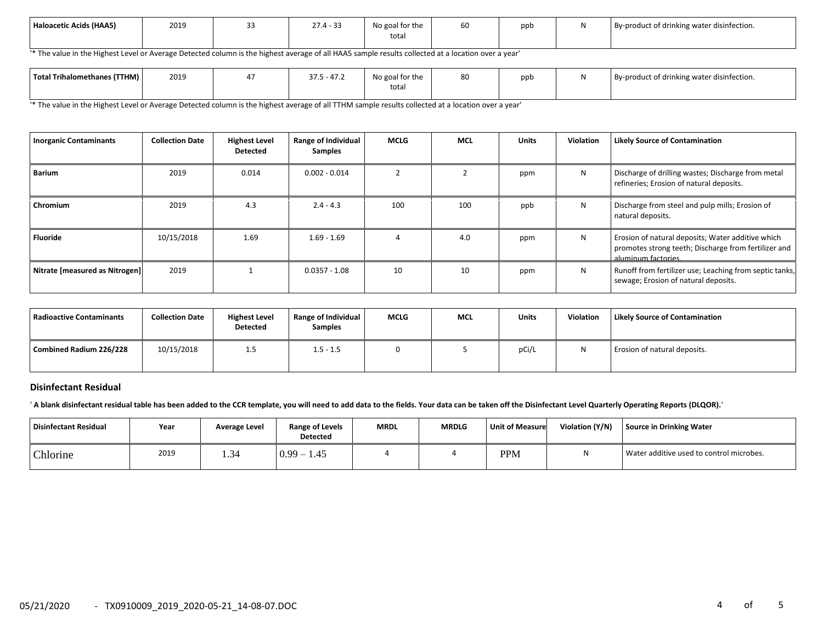| Haloacetic Acids (HAA5) | 2019 | ັ | $\sim$<br>27.4 | .<br>No goal for the<br>total | $-1$<br>60 | ppb | By-product of drinking water disinfection. |
|-------------------------|------|---|----------------|-------------------------------|------------|-----|--------------------------------------------|
|                         |      |   |                |                               |            |     |                                            |

'\* The value in the Highest Level or Average Detected column is the highest average of all HAA5 sample results collected at a location over a year'

| Total Trihalomethanes (TTHM) | 2019 | $\sim$<br>$\sim$ $-$<br>$-41.4$<br>ن. ا د | .<br>No goal for the | 80 | ppt | .<br>By-product of drinking water disinfection. |
|------------------------------|------|-------------------------------------------|----------------------|----|-----|-------------------------------------------------|
|                              |      |                                           | total                |    |     |                                                 |

'\* The value in the Highest Level or Average Detected column is the highest average of all TTHM sample results collected at a location over a year'

| <b>Inorganic Contaminants</b>  | <b>Collection Date</b> | <b>Highest Level</b><br><b>Detected</b> | Range of Individual<br><b>Samples</b> | MCLG | <b>MCL</b> | <b>Units</b> | Violation | <b>Likely Source of Contamination</b>                                                                                            |
|--------------------------------|------------------------|-----------------------------------------|---------------------------------------|------|------------|--------------|-----------|----------------------------------------------------------------------------------------------------------------------------------|
| <b>Barium</b>                  | 2019                   | 0.014                                   | $0.002 - 0.014$                       |      |            | ppm          | N         | Discharge of drilling wastes; Discharge from metal<br>refineries; Erosion of natural deposits.                                   |
| Chromium                       | 2019                   | 4.3                                     | $2.4 - 4.3$                           | 100  | 100        | ppb          | N         | Discharge from steel and pulp mills; Erosion of<br>natural deposits.                                                             |
| <b>Fluoride</b>                | 10/15/2018             | 1.69                                    | $1.69 - 1.69$                         |      | 4.0        | ppm          | N         | Erosion of natural deposits; Water additive which<br>promotes strong teeth; Discharge from fertilizer and<br>aluminum factories. |
| Nitrate [measured as Nitrogen] | 2019                   |                                         | $0.0357 - 1.08$                       | 10   | 10         | ppm          | N         | Runoff from fertilizer use; Leaching from septic tanks,<br>sewage; Erosion of natural deposits.                                  |

| <b>Radioactive Contaminants</b> | <b>Collection Date</b> | <b>Highest Level</b><br>Detected | <b>Range of Individual</b><br><b>Samples</b> | <b>MCLG</b> | <b>MCL</b> | Units | Violation | <b>Likely Source of Contamination</b> |
|---------------------------------|------------------------|----------------------------------|----------------------------------------------|-------------|------------|-------|-----------|---------------------------------------|
| Combined Radium 226/228         | 10/15/2018             | 1.5                              | $1.5 - 1.5$                                  |             |            | pCi/L |           | Erosion of natural deposits.          |

#### **Disinfectant Residual**

' **A blank disinfectant residual table has been added to the CCR template, you will need to add data to the fields. Your data can be taken off the Disinfectant Level Quarterly Operating Reports (DLQOR).**'

| Disinfectant Residual | Year | <b>Average Level</b> | <b>Range of Levels</b><br><b>Detected</b> | <b>MRDL</b> | MRDLG | <b>Unit of Measure</b> | Violation (Y/N) | Source in Drinking Water                 |
|-----------------------|------|----------------------|-------------------------------------------|-------------|-------|------------------------|-----------------|------------------------------------------|
| Chlorine              | 2019 |                      | $0.99 - 1$<br>1.45                        |             |       | <b>PPM</b>             | M               | Water additive used to control microbes. |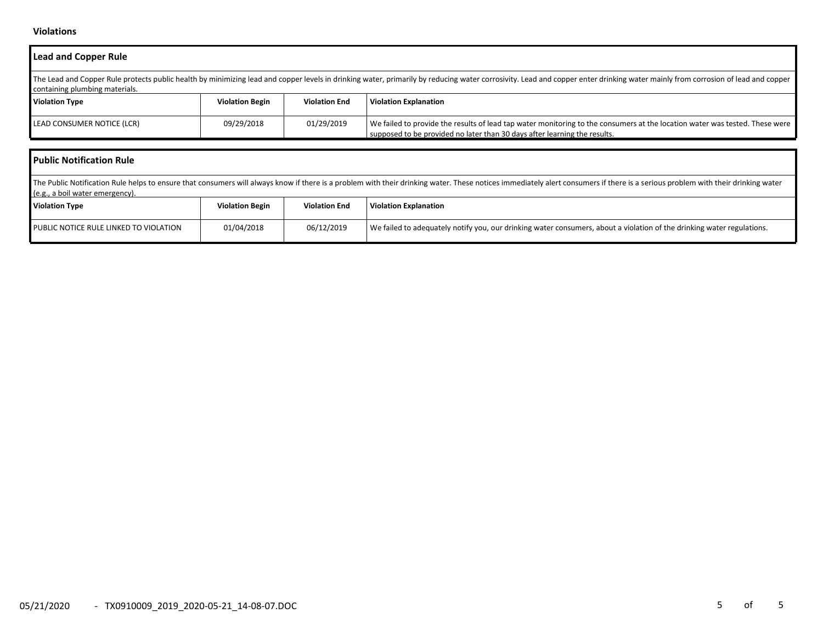### **Violations**

| <b>Lead and Copper Rule</b>                                                                                                                                                                                                                                      |                        |                      |                                                                                                                                                                                                                                |  |  |  |  |  |  |
|------------------------------------------------------------------------------------------------------------------------------------------------------------------------------------------------------------------------------------------------------------------|------------------------|----------------------|--------------------------------------------------------------------------------------------------------------------------------------------------------------------------------------------------------------------------------|--|--|--|--|--|--|
| The Lead and Copper Rule protects public health by minimizing lead and copper levels in drinking water, primarily by reducing water corrosivity. Lead and copper enter drinking water mainly from corrosion of lead and copper<br>containing plumbing materials. |                        |                      |                                                                                                                                                                                                                                |  |  |  |  |  |  |
| <b>Violation Type</b>                                                                                                                                                                                                                                            | <b>Violation Begin</b> | <b>Violation End</b> | <b>Violation Explanation</b>                                                                                                                                                                                                   |  |  |  |  |  |  |
| LEAD CONSUMER NOTICE (LCR)                                                                                                                                                                                                                                       | 09/29/2018             | 01/29/2019           | We failed to provide the results of lead tap water monitoring to the consumers at the location water was tested. These were<br>supposed to be provided no later than 30 days after learning the results.                       |  |  |  |  |  |  |
| <b>Public Notification Rule</b>                                                                                                                                                                                                                                  |                        |                      |                                                                                                                                                                                                                                |  |  |  |  |  |  |
| (e.g., a boil water emergency).                                                                                                                                                                                                                                  |                        |                      | The Public Notification Rule helps to ensure that consumers will always know if there is a problem with their drinking water. These notices immediately alert consumers if there is a serious problem with their drinking wate |  |  |  |  |  |  |

| $1 - 8$<br><b>Violation Type</b>       | <b>Violation Begin</b> | <b>Violation End</b> | l Violation Explanation                                                                                                |
|----------------------------------------|------------------------|----------------------|------------------------------------------------------------------------------------------------------------------------|
| PUBLIC NOTICE RULE LINKED TO VIOLATION | 01/04/2018             | 06/12/2019           | We failed to adequately notify you, our drinking water consumers, about a violation of the drinking water regulations. |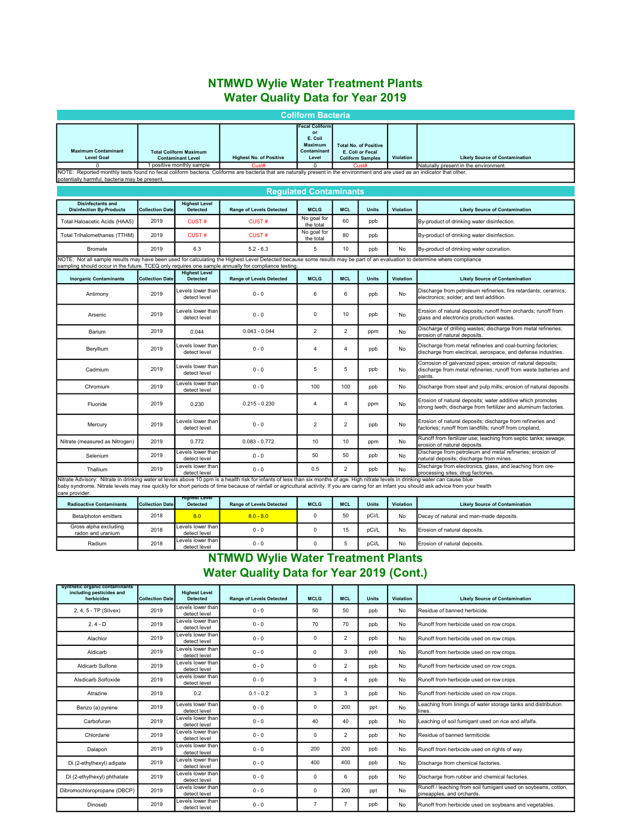# NTMWD Wylie Water Treatment Plants Water Quality Data for Year 2019

|                                                                                                                                                                                                                                                                                                                                                                                                         |                        |                                                                                        |                                                | <b>Coliform Bacteria</b>                                                      |                |                                                                                                  |           |                                                                                                                                            |  |
|---------------------------------------------------------------------------------------------------------------------------------------------------------------------------------------------------------------------------------------------------------------------------------------------------------------------------------------------------------------------------------------------------------|------------------------|----------------------------------------------------------------------------------------|------------------------------------------------|-------------------------------------------------------------------------------|----------------|--------------------------------------------------------------------------------------------------|-----------|--------------------------------------------------------------------------------------------------------------------------------------------|--|
| <b>Maximum Contaminant</b><br><b>Level Goal</b><br>O                                                                                                                                                                                                                                                                                                                                                    |                        | <b>Total Coliform Maximum</b><br><b>Contaminant Level</b><br>1 positive monthly sample | <b>Highest No. of Positive</b><br><b>Cust#</b> | ecal Coliform<br>or<br>E. Coli<br>Maximum<br>Contaminant<br>Level<br>$\Omega$ |                | <b>Total No. of Positive</b><br>E. Coli or Fecal<br>Violation<br><b>Coliform Samples</b><br>Cust |           | <b>Likely Source of Contamination</b><br>Naturally present in the environment.                                                             |  |
| NOTE: Reported monthly tests found no fecal coliform bacteria. Coliforms are bacteria that are naturally present in the environment and are used as an indicator that other,<br>potentially harmful, bacteria may be present.                                                                                                                                                                           |                        |                                                                                        |                                                |                                                                               |                |                                                                                                  |           |                                                                                                                                            |  |
|                                                                                                                                                                                                                                                                                                                                                                                                         |                        |                                                                                        |                                                | <b>Requlated Contaminants</b>                                                 |                |                                                                                                  |           |                                                                                                                                            |  |
| <b>Disinfectants and</b><br><b>Disinfection By-Products</b>                                                                                                                                                                                                                                                                                                                                             | <b>Collection Date</b> | <b>Highest Level</b><br><b>Detected</b>                                                | <b>Range of Levels Detected</b>                | <b>MCLG</b>                                                                   | <b>MCL</b>     | <b>Units</b>                                                                                     | Violation | <b>Likely Source of Contamination</b>                                                                                                      |  |
| Total Haloacetic Acids (HAA5)                                                                                                                                                                                                                                                                                                                                                                           | 2019                   | <b>CUST#</b>                                                                           | <b>CUST#</b>                                   | No goal for<br>the total                                                      | 60             | ppb                                                                                              |           | By-product of drinking water disinfection.                                                                                                 |  |
| Total Trihalomethanes (TTHM)                                                                                                                                                                                                                                                                                                                                                                            | 2019                   | <b>CUST#</b>                                                                           | <b>CUST#</b>                                   | No goal for<br>the total                                                      | 80             | ppb                                                                                              |           | By-product of drinking water disinfection.                                                                                                 |  |
| Bromate                                                                                                                                                                                                                                                                                                                                                                                                 | 2019                   | 6.3                                                                                    | $5.2 - 6.3$                                    | 5                                                                             | 10             | ppb                                                                                              | No        | By-product of drinking water ozonation.                                                                                                    |  |
| NOTE: Not all sample results may have been used for calculating the Highest Level Detected because some results may be part of an evaluation to determine where compliance<br>sampling should occur in the future. TCEQ only requires one sample annually for compliance testing                                                                                                                        |                        |                                                                                        |                                                |                                                                               |                |                                                                                                  |           |                                                                                                                                            |  |
| <b>Inorganic Contaminants</b>                                                                                                                                                                                                                                                                                                                                                                           | <b>Collection Date</b> | <b>Highest Level</b><br><b>Detected</b>                                                | <b>Range of Levels Detected</b>                | <b>MCLG</b>                                                                   | <b>MCL</b>     | <b>Units</b>                                                                                     | Violation | <b>Likely Source of Contamination</b>                                                                                                      |  |
| Antimony                                                                                                                                                                                                                                                                                                                                                                                                | 2019                   | evels lower than<br>detect level                                                       | $0 - 0$                                        | 6                                                                             | 6              | ppb                                                                                              | No        | Discharge from petroleum refineries; fire retardants; ceramics;<br>electronics; solder; and test addition.                                 |  |
| Arsenic                                                                                                                                                                                                                                                                                                                                                                                                 | 2019                   | Levels lower than<br>detect level                                                      | $0 - 0$                                        | 0                                                                             | 10             | ppb                                                                                              | No        | Erosion of natural deposits; runoff from orchards; runoff from<br>glass and electronics production wastes.                                 |  |
| Barium                                                                                                                                                                                                                                                                                                                                                                                                  | 2019                   | 0.044                                                                                  | $0.043 - 0.044$                                | $\overline{2}$                                                                | $\overline{2}$ | ppm                                                                                              | No        | Discharge of drilling wastes; discharge from metal refineries;<br>erosion of natural deposits.                                             |  |
| Beryllium                                                                                                                                                                                                                                                                                                                                                                                               | 2019                   | Levels lower than<br>detect level                                                      | $0 - 0$                                        | 4                                                                             | 4              | ppb                                                                                              | No        | Discharge from metal refineries and coal-burning factories;<br>discharge from electrical, aerospace, and defense industries.               |  |
| Cadmium                                                                                                                                                                                                                                                                                                                                                                                                 | 2019                   | Levels lower than<br>detect level                                                      | $0 - 0$                                        | 5                                                                             | 5              | ppb                                                                                              | No        | Corrosion of galvanized pipes; erosion of natural deposits;<br>discharge from metal refineries; runoff from waste batteries and<br>paints. |  |
| Chromium                                                                                                                                                                                                                                                                                                                                                                                                | 2019                   | Levels lower than<br>detect level                                                      | $0 - 0$                                        | 100                                                                           | 100            | ppb                                                                                              | No        | Discharge from steel and pulp mills; erosion of natural deposits.                                                                          |  |
| Fluoride                                                                                                                                                                                                                                                                                                                                                                                                | 2019                   | 0.230                                                                                  | $0.215 - 0.230$                                | $\overline{4}$                                                                | 4              | ppm                                                                                              | No        | Erosion of natural deposits; water additive which promotes<br>strong teeth; discharge from fertilizer and aluminum factories.              |  |
| Mercury                                                                                                                                                                                                                                                                                                                                                                                                 | 2019                   | Levels lower than<br>detect level                                                      | $0 - 0$                                        | $\overline{2}$                                                                | $\overline{2}$ | ppb                                                                                              | No        | Erosion of natural deposits; discharge from refineries and<br>factories; runoff from landfills; runoff from cropland.                      |  |
| Nitrate (measured as Nitrogen)                                                                                                                                                                                                                                                                                                                                                                          | 2019                   | 0.772                                                                                  | $0.083 - 0.772$                                | 10                                                                            | 10             | ppm                                                                                              | No        | Runoff from fertilizer use; leaching from septic tanks; sewage;<br>erosion of natural deposits.                                            |  |
| Selenium                                                                                                                                                                                                                                                                                                                                                                                                | 2019                   | Levels lower than<br>detect level                                                      | $0 - 0$                                        | 50                                                                            | 50             | ppb                                                                                              | No        | Discharge from petroleum and metal refineries; erosion of<br>natural deposits; discharge from mines.                                       |  |
| Thallium                                                                                                                                                                                                                                                                                                                                                                                                | 2019                   | Levels lower than<br>detect level                                                      | $0 - 0$                                        | 0.5                                                                           | $\overline{2}$ | ppb                                                                                              | No        | Discharge from electronics, glass, and leaching from ore-<br>processing sites; drug factories.                                             |  |
| Nitrate Advisory: Nitrate in drinking water at levels above 10 ppm is a health risk for infants of less than six months of age. High nitrate levels in drinking water can cause blue<br>baby syndrome. Nitrate levels may rise quickly for short periods of time because of rainfall or agricultural activity. If you are caring for an infant you should ask advice from your health<br>care provider. |                        |                                                                                        |                                                |                                                                               |                |                                                                                                  |           |                                                                                                                                            |  |
| <b>Radioactive Contaminants</b>                                                                                                                                                                                                                                                                                                                                                                         | <b>Collection Date</b> | <b>Highest Level</b><br><b>Detected</b>                                                | <b>Range of Levels Detected</b>                | <b>MCLG</b>                                                                   | <b>MCL</b>     | <b>Units</b>                                                                                     | Violation | <b>Likely Source of Contamination</b>                                                                                                      |  |
| Beta/photon emitters                                                                                                                                                                                                                                                                                                                                                                                    | 2018                   | 8.0                                                                                    | $8.0 - 8.0$                                    | $\Omega$                                                                      | 50             | pCi/L                                                                                            | No        | Decay of natural and man-made deposits.                                                                                                    |  |
| Gross alpha excluding<br>radon and uranium                                                                                                                                                                                                                                                                                                                                                              | 2018                   | Levels lower than<br>detect level                                                      | $0 - 0$                                        | $\mathbf 0$                                                                   | 15             | pCi/L                                                                                            | No        | Erosion of natural deposits.                                                                                                               |  |
| Radium                                                                                                                                                                                                                                                                                                                                                                                                  | 2018                   | Levels lower than<br>detect level                                                      | $0 - 0$                                        | $\mathbf 0$                                                                   | 5              | pCi/L                                                                                            | No        | Erosion of natural deposits.                                                                                                               |  |

# NTMWD Wylie Water Treatment Plants Water Quality Data for Year 2019 (Cont.)

| Synthetic organic contaminants<br>including pesticides and<br>herbicides | <b>Collection Date</b> | <b>Highest Level</b><br><b>Detected</b>    | <b>Range of Levels Detected</b> | <b>MCLG</b>    | <b>MCL</b>     | <b>Units</b> | Violation | <b>Likely Source of Contamination</b>                                                       |
|--------------------------------------------------------------------------|------------------------|--------------------------------------------|---------------------------------|----------------|----------------|--------------|-----------|---------------------------------------------------------------------------------------------|
| 2, 4, 5 - TP (Silvex)                                                    | 2019                   | Levels lower than<br>detect level          | $0 - 0$                         | 50             | 50             | ppb          | No        | Residue of banned herbicide.                                                                |
| $2, 4 - D$                                                               | 2019                   | Levels lower than<br>detect level          | $0 - 0$                         | 70             | 70             | ppb          | No        | Runoff from herbicide used on row crops.                                                    |
| Alachlor                                                                 | 2019                   | Levels lower than<br>detect level          | $0 - 0$                         | $\mathbf 0$    | $\overline{2}$ | ppb          | No        | Runoff from herbicide used on row crops.                                                    |
| Aldicarb                                                                 | 2019                   | Levels lower than<br>detect level          | $0 - 0$                         | 0              | 3              | ppb          | No        | Runoff from herbicide used on row crops.                                                    |
| Aldicarb Sulfone                                                         | 2019                   | Levels lower than <b>l</b><br>detect level | $0 - 0$                         | 0              | $\overline{2}$ | ppb          | No        | Runoff from herbicide used on row crops.                                                    |
| Alsdicarb Solfoxide                                                      | 2019                   | Levels lower than <b>l</b><br>detect level | $0 - 0$                         | 3              | 4              | ppb          | No        | Runoff from herbicide used on row crops.                                                    |
| Atrazine                                                                 | 2019                   | 0.2                                        | $0.1 - 0.2$                     | 3              | 3              | ppb          | No        | Runoff from herbicide used on row crops.                                                    |
| Benzo (a) pyrene                                                         | 2019                   | Levels lower than<br>detect level          | $0 - 0$                         | $\mathbf 0$    | 200            | ppt          | No        | Leaching from linings of water storage tanks and distribution<br>lines.                     |
| Carbofuran                                                               | 2019                   | Levels lower than<br>detect level          | $0 - 0$                         | 40             | 40             | ppb          | No        | Leaching of soil fumigant used on rice and alfalfa.                                         |
| Chlordane                                                                | 2019                   | Levels lower than <b>l</b><br>detect level | $0 - 0$                         | $\mathbf 0$    | $\overline{2}$ | ppb          | No        | Residue of banned termiticide.                                                              |
| Dalapon                                                                  | 2019                   | Levels lower than<br>detect level          | $0 - 0$                         | 200            | 200            | ppb          | No        | Runoff from herbicide used on rights of way.                                                |
| Di (2-ethylhexyl) adipate                                                | 2019                   | Levels lower than <b>l</b><br>detect level | $0 - 0$                         | 400            | 400            | ppb          | No        | Discharge from chemical factories.                                                          |
| Di (2-ethylhexyl) phthalate                                              | 2019                   | Levels lower than<br>detect level          | $0 - 0$                         | 0              | 6              | ppb          | No        | Discharge from rubber and chemical factories.                                               |
| Dibromochloropropane (DBCP)                                              | 2019                   | Levels lower than<br>detect level          | $0 - 0$                         | $\mathbf 0$    | 200            | ppt          | No        | Runoff / leaching from soil fumigant used on soybeans, cotton,<br>pineapples, and orchards. |
| Dinoseb                                                                  | 2019                   | Levels lower than<br>detect level          | $0 - 0$                         | $\overline{7}$ |                | ppb          | No        | Runoff from herbicide used on soybeans and vegetables.                                      |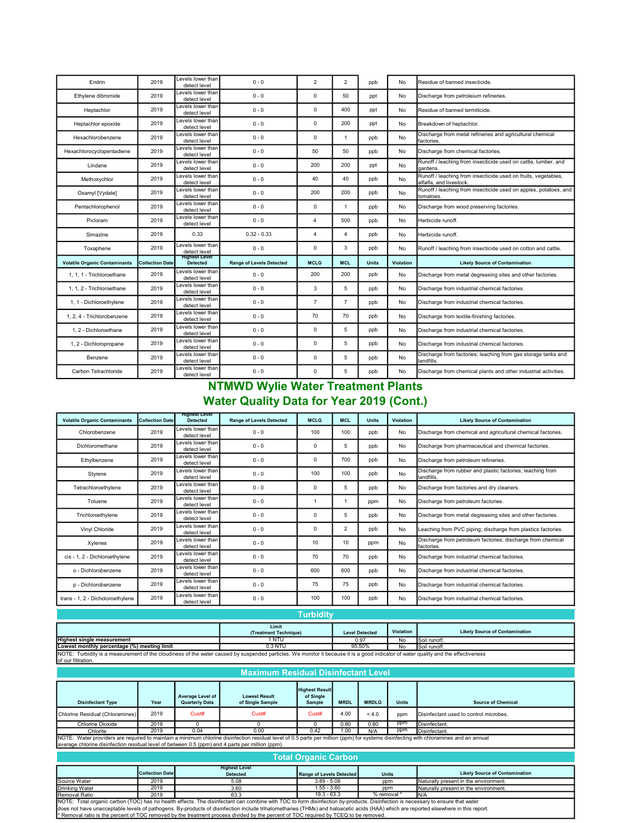| Endrin                               | 2019                   | Levels lower than <b>l</b><br>detect level | $0 - 0$                         | $\overline{2}$          | $\overline{2}$ | ppb          | No.       | Residue of banned insecticide.                                                            |
|--------------------------------------|------------------------|--------------------------------------------|---------------------------------|-------------------------|----------------|--------------|-----------|-------------------------------------------------------------------------------------------|
| Ethylene dibromide                   | 2019                   | Levels lower than<br>detect level          | $0 - 0$                         | $\mathbf 0$             | 50             | ppt          | No        | Discharge from petroleium refineries.                                                     |
| Heptachlor                           | 2019                   | evels lower than<br>detect level           | $0 - 0$                         | 0                       | 400            | ppt          | No        | Residue of banned termiticide.                                                            |
| Heptachlor epoxide                   | 2019                   | Levels lower than<br>detect level          | $0 - 0$                         | $\mathbf 0$             | 200            | ppt          | No        | Breakdown of heptachlor.                                                                  |
| Hexachlorobenzene                    | 2019                   | evels lower than<br>detect level           | $0 - 0$                         | $\mathbf 0$             | 1              | ppb          | No        | Discharge from metal refineries and agricultural chemical<br>factories.                   |
| Hexachlorocyclopentadiene            | 2019                   | Levels lower than<br>detect level          | $0 - 0$                         | 50                      | 50             | ppb          | No        | Discharge from chemical factories.                                                        |
| Lindane                              | 2019                   | Levels lower than<br>detect level          | $0 - 0$                         | 200                     | 200            | ppt          | No        | Runoff / leaching from insecticide used on cattle, lumber, and<br>gardens.                |
| Methoxychlor                         | 2019                   | Levels lower than<br>detect level          | $0 - 0$                         | 40                      | 40             | ppb          | No        | Runoff / leaching from insecticide used on fruits, vegetables,<br>alfalfa, and livestock. |
| Oxamyl [Vydate]                      | 2019                   | Levels lower than<br>detect level          | $0 - 0$                         | 200                     | 200            | ppb          | No        | Runoff / leaching from insecticide used on apples, potatoes, and<br>tomatoes.             |
| Pentachlorophenol                    | 2019                   | Levels lower than<br>detect level          | $0 - 0$                         | $\mathbf 0$             | 1              | ppb          | No        | Discharge from wood preserving factories.                                                 |
| Picloram                             | 2019                   | Levels lower than<br>detect level          | $0 - 0$                         | $\overline{\mathbf{4}}$ | 500            | ppb          | No        | Herbicide runoff.                                                                         |
| Simazine                             | 2019                   | 0.33                                       | $0.32 - 0.33$                   | $\Delta$                | 4              | ppb          | No        | Herbicide runoff.                                                                         |
| Toxaphene                            | 2019                   | evels lower than<br>detect level           | $0 - 0$                         | $\mathbf 0$             | 3              | ppb          | No        | Runoff / leaching from insecticide used on cotton and cattle.                             |
| <b>Volatile Organic Contaminants</b> | <b>Collection Date</b> | <b>Highest Level</b><br><b>Detected</b>    | <b>Range of Levels Detected</b> | <b>MCLG</b>             | <b>MCL</b>     | <b>Units</b> | Violation | <b>Likely Source of Contamination</b>                                                     |
| 1. 1. 1 - Trichloroethane            | 2019                   | Levels lower than<br>detect level          | $0 - 0$                         | 200                     | 200            | ppb          | No        | Discharge from metal degreasing sites and other factories.                                |
| 1. 1. 2 - Trichloroethane            | 2019                   | evels lower than<br>detect level           | $0 - 0$                         | 3                       | 5              | ppb          | No        | Discharge from industrial chemical factories.                                             |
| 1. 1 - Dichloroethylene              | 2019                   | Levels lower than<br>detect level          | $0 - 0$                         | $\overline{7}$          | $\overline{7}$ | ppb          | No        | Discharge from industrial chemical factories.                                             |
| 1, 2, 4 - Trichlorobenzene           | 2019                   | Levels lower than<br>detect level          | $0 - 0$                         | 70                      | 70             | ppb          | No        | Discharge from textile-finishing factories.                                               |
| 1.2 - Dichloroethane                 | 2019                   | Levels lower than<br>detect level          | $0 - 0$                         | 0                       | 5              | ppb          | No        | Discharge from industrial chemical factories.                                             |
| 1, 2 - Dichloropropane               | 2019                   | Levels lower than<br>detect level          | $0 - 0$                         | $\mathbf 0$             | 5              | ppb          | No        | Discharge from industrial chemical factories.                                             |
|                                      |                        |                                            |                                 |                         |                |              |           | Discharge from factories; leaching from gas storage tanks and                             |
| Benzene                              | 2019                   | Levels lower than<br>detect level          | $0 - 0$                         | $\mathbf 0$             | 5              | ppb          | No        | landfills.                                                                                |

### NTMWD Wylie Water Treatment Plants Water Quality Data for Year 2019 (Cont.)

| <b>Volatile Organic Contaminants</b> | <b>Collection Date</b> | <b>Highest Level</b><br><b>Detected</b>    | <b>Range of Levels Detected</b> | <b>MCLG</b> | <b>MCL</b>     | <b>Units</b> | Violation | <b>Likely Source of Contamination</b>                                     |
|--------------------------------------|------------------------|--------------------------------------------|---------------------------------|-------------|----------------|--------------|-----------|---------------------------------------------------------------------------|
| Chlorobenzene                        | 2019                   | Levels lower than<br>detect level          | $0 - 0$                         | 100         | 100            | ppb          | No        | Discharge from chemical and agricultural chemical factories.              |
| Dichloromethane                      | 2019                   | Levels lower than<br>detect level          | $0 - 0$                         | 0           | 5              | ppb          | No        | Discharge from pharmaceutical and chemical factories.                     |
| Ethylbenzene                         | 2019                   | Levels lower than<br>detect level          | $0 - 0$                         | $\Omega$    | 700            | ppb          | No        | Discharge from petroleum refineries.                                      |
| Styrene                              | 2019                   | Levels lower than<br>detect level          | $0 - 0$                         | 100         | 100            | ppb          | No.       | Discharge from rubber and plastic factories; leaching from<br>landfills.  |
| Tetrachloroethylene                  | 2019                   | Levels lower than<br>detect level          | $0 - 0$                         | $\Omega$    | 5              | ppb          | No        | Discharge from factories and dry cleaners.                                |
| Toluene                              | 2019                   | Levels lower than <b>l</b><br>detect level | $0 - 0$                         |             |                | ppm          | No        | Discharge from petroleum factories.                                       |
| Trichloroethylene                    | 2019                   | Levels lower than<br>detect level          | $0 - 0$                         | 0           | 5              | ppb          | No        | Discharge from metal degreasing sites and other factories.                |
| Vinyl Chloride                       | 2019                   | Levels lower than<br>detect level          | $0 - 0$                         | 0           | $\overline{2}$ | ppb          | No        | Leaching from PVC piping; discharge from plastics factories.              |
| Xylenes                              | 2019                   | Levels lower than <b>l</b><br>detect level | $0 - 0$                         | 10          | 10             | ppm          | No        | Discharge from petroleum factories; discharge from chemical<br>factories. |
| cis - 1, 2 - Dichloroethylene        | 2019                   | Levels lower than<br>detect level          | $0 - 0$                         | 70          | 70             | ppb          | No        | Discharge from industrial chemical factories.                             |
| o - Dichlorobenzene                  | 2019                   | Levels lower than <b>l</b><br>detect level | $0 - 0$                         | 600         | 600            | ppb          | No        | Discharge from industrial chemical factories.                             |
| p - Dichlorobenzene                  | 2019                   | Levels lower than<br>detect level          | $0 - 0$                         | 75          | 75             | ppb          | No        | Discharge from industrial chemical factories.                             |
| trans - 1, 2 - Dicholoroethylene     | 2019                   | Levels lower than <b>l</b><br>detect level | $0 - 0$                         | 100         | 100            | ppb          | No        | Discharge from industrial chemical factories.                             |

# Turbidity

|                                                                                                                                                                                    | Limit<br>(Treatment Technique) | <b>Level Detected</b> | Violation | <b>Likely Source of Contamination</b> |  |  |  |
|------------------------------------------------------------------------------------------------------------------------------------------------------------------------------------|--------------------------------|-----------------------|-----------|---------------------------------------|--|--|--|
| <b>Highest single measurement</b>                                                                                                                                                  | 1 NTU                          | 0.97                  | No        | Soil runoff.                          |  |  |  |
| Lowest monthly percentage (%) meeting limit                                                                                                                                        | $0.3$ NTU                      | 95.50%                | No        | Soil runoff.                          |  |  |  |
| NOTE: Turbidity is a measurement of the cloudiness of the water caused by suspended particles. We monitor it because it is a good indicator of water quality and the effectiveness |                                |                       |           |                                       |  |  |  |
| of our filtration.                                                                                                                                                                 |                                |                       |           |                                       |  |  |  |

| <b>Maximum Residual Disinfectant Level</b>                                                                                                                                                                                                                                                                                                                                                                                                                                                                   |                                                                                                                                                                                                                                                                                                                         |                                           |                                                  |                                              |             |              |              |                                        |
|--------------------------------------------------------------------------------------------------------------------------------------------------------------------------------------------------------------------------------------------------------------------------------------------------------------------------------------------------------------------------------------------------------------------------------------------------------------------------------------------------------------|-------------------------------------------------------------------------------------------------------------------------------------------------------------------------------------------------------------------------------------------------------------------------------------------------------------------------|-------------------------------------------|--------------------------------------------------|----------------------------------------------|-------------|--------------|--------------|----------------------------------------|
| <b>Disinfectant Type</b>                                                                                                                                                                                                                                                                                                                                                                                                                                                                                     | Year                                                                                                                                                                                                                                                                                                                    | Average Level of<br><b>Quarterly Data</b> | <b>Lowest Result</b><br>of Single Sample         | <b>Highest Result</b><br>of Single<br>Sample | <b>MRDL</b> | <b>MRDLG</b> | <b>Units</b> | <b>Source of Chemical</b>              |
| Chlorine Residual (Chloramines)                                                                                                                                                                                                                                                                                                                                                                                                                                                                              | 2019                                                                                                                                                                                                                                                                                                                    | Cust#                                     | Cust#                                            | Cust#                                        | 4.00        | 4.0          | ppm          | Disinfectant used to control microbes. |
| Chlorine Dioxide                                                                                                                                                                                                                                                                                                                                                                                                                                                                                             | 2019                                                                                                                                                                                                                                                                                                                    | O                                         |                                                  | $\Omega$                                     | 0.80        | 0.80         | ppm          | Disinfectant.                          |
| Chlorite                                                                                                                                                                                                                                                                                                                                                                                                                                                                                                     | 2019                                                                                                                                                                                                                                                                                                                    | 0.04                                      | 0.00                                             | 0.42                                         | 1.00        | N/A          | ppm          | Disinfectant.                          |
|                                                                                                                                                                                                                                                                                                                                                                                                                                                                                                              | NOTE: Water providers are required to maintain a minimum chlorine disinfection residual level of 0.5 parts per million (ppm) for systems disinfecting with chloramines and an annual<br>average chlorine disinfection residual level of between 0.5 (ppm) and 4 parts per million (ppm).<br><b>Total Organic Carbon</b> |                                           |                                                  |                                              |             |              |              |                                        |
|                                                                                                                                                                                                                                                                                                                                                                                                                                                                                                              | <b>Collection Date</b>                                                                                                                                                                                                                                                                                                  |                                           | <b>Highest Level</b><br><b>Detected</b>          | Range of Levels Detected                     |             |              | <b>Units</b> | <b>Likely Source of Contamination</b>  |
| Source Water                                                                                                                                                                                                                                                                                                                                                                                                                                                                                                 | 2019                                                                                                                                                                                                                                                                                                                    |                                           | 5.08                                             | $3.89 - 5.08$                                |             |              | ppm          | Naturally present in the environment.  |
| <b>Drinking Water</b>                                                                                                                                                                                                                                                                                                                                                                                                                                                                                        | 2019                                                                                                                                                                                                                                                                                                                    |                                           | 3.60                                             | 1.55 - 3.60                                  |             |              | ppm          | Naturally present in the environment.  |
| Removal Ratio                                                                                                                                                                                                                                                                                                                                                                                                                                                                                                | 2019                                                                                                                                                                                                                                                                                                                    |                                           | $%$ removal $*$<br>$19.3 - 63.3$<br>IN/A<br>63.3 |                                              |             |              |              |                                        |
| NOTE: Total organic carbon (TOC) has no health effects. The disinfectant can combine with TOC to form disinfection by-products. Disinfection is necessary to ensure that water<br>does not have unacceptable levels of pathogens. By-products of disinfection include trihalomethanes (THMs) and haloacetic acids (HAA) which are reported elsewhere in this report.<br>* Removal ratio is the percent of TOC removed by the treatment process divided by the percent of TOC required by TCEQ to be removed. |                                                                                                                                                                                                                                                                                                                         |                                           |                                                  |                                              |             |              |              |                                        |